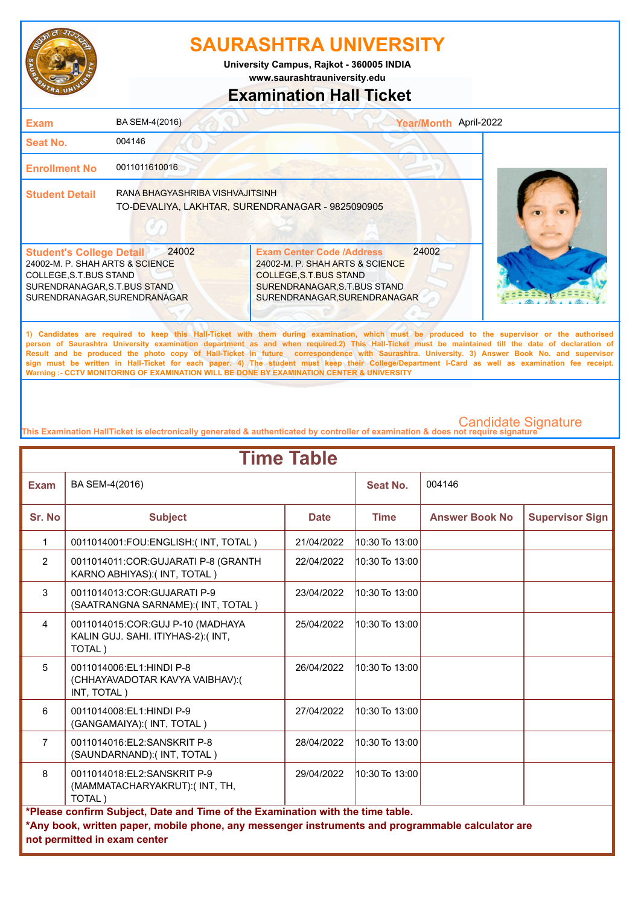

**www.saurashtrauniversity.edu University Campus, Rajkot - 360005 INDIA**

### **Examination Hall Ticket**

| <b>Exam</b>                                                                                                                                                   | BA SEM-4(2016)                                                                      |                                                                                                                                                                       | Year/Month April-2022 |  |
|---------------------------------------------------------------------------------------------------------------------------------------------------------------|-------------------------------------------------------------------------------------|-----------------------------------------------------------------------------------------------------------------------------------------------------------------------|-----------------------|--|
| Seat No.                                                                                                                                                      | 004146                                                                              |                                                                                                                                                                       |                       |  |
| <b>Enrollment No</b>                                                                                                                                          | 0011011610016                                                                       |                                                                                                                                                                       |                       |  |
| <b>Student Detail</b>                                                                                                                                         | RANA BHAGYASHRIBA VISHVAJITSINH<br>TO-DEVALIYA, LAKHTAR, SURENDRANAGAR - 9825090905 |                                                                                                                                                                       |                       |  |
| <b>Student's College Detail</b><br>24002-M. P. SHAH ARTS & SCIENCE<br>COLLEGE, S.T. BUS STAND<br>SURENDRANAGAR, S.T.BUS STAND<br>SURENDRANAGAR, SURENDRANAGAR | 24002                                                                               | <b>Exam Center Code /Address</b><br>24002-M. P. SHAH ARTS & SCIENCE<br><b>COLLEGE, S.T. BUS STAND</b><br>SURENDRANAGAR, S.T.BUS STAND<br>SURENDRANAGAR, SURENDRANAGAR | 24002                 |  |
|                                                                                                                                                               |                                                                                     |                                                                                                                                                                       |                       |  |

**1) Candidates are required to keep this Hall-Ticket with them during examination, which must be produced to the supervisor or the authorised person of Saurashtra University examination department as and when required.2) This Hall-Ticket must be maintained till the date of declaration of Result and be produced the photo copy of Hall-Ticket in future correspondence with Saurashtra. University. 3) Answer Book No. and supervisor sign must be written in Hall-Ticket for each paper. 4) The student must keep their College/Department I-Card as well as examination fee receipt. Warning :- CCTV MONITORING OF EXAMINATION WILL BE DONE BY EXAMINATION CENTER & UNIVERSITY**

| <b>Time Table</b> |                                                                                                   |             |                    |                       |                        |  |  |
|-------------------|---------------------------------------------------------------------------------------------------|-------------|--------------------|-----------------------|------------------------|--|--|
| <b>Exam</b>       | BA SEM-4(2016)                                                                                    |             | Seat No.           | 004146                |                        |  |  |
| Sr. No            | <b>Subject</b>                                                                                    | <b>Date</b> | <b>Time</b>        | <b>Answer Book No</b> | <b>Supervisor Sign</b> |  |  |
| $\mathbf{1}$      | 0011014001:FOU:ENGLISH:(INT, TOTAL)                                                               | 21/04/2022  | $10:30$ To $13:00$ |                       |                        |  |  |
| $\overline{2}$    | 0011014011:COR:GUJARATI P-8 (GRANTH<br>KARNO ABHIYAS): (INT, TOTAL)                               | 22/04/2022  | $10:30$ To $13:00$ |                       |                        |  |  |
| 3                 | 0011014013:COR:GUJARATI P-9<br>(SAATRANGNA SARNAME):(INT, TOTAL)                                  | 23/04/2022  | $10:30$ To $13:00$ |                       |                        |  |  |
| $\overline{4}$    | 0011014015:COR:GUJ P-10 (MADHAYA<br>KALIN GUJ. SAHI. ITIYHAS-2):(INT,<br>TOTAL)                   | 25/04/2022  | $10:30$ To $13:00$ |                       |                        |  |  |
| 5                 | 0011014006:EL1:HINDI P-8<br>(CHHAYAVADOTAR KAVYA VAIBHAV):(<br>INT, TOTAL)                        | 26/04/2022  | $10:30$ To $13:00$ |                       |                        |  |  |
| 6                 | 0011014008:EL1:HINDI P-9<br>(GANGAMAIYA): (INT, TOTAL)                                            | 27/04/2022  | $10:30$ To $13:00$ |                       |                        |  |  |
| $\overline{7}$    | 0011014016:EL2:SANSKRIT P-8<br>(SAUNDARNAND):(INT, TOTAL)                                         | 28/04/2022  | $10:30$ To $13:00$ |                       |                        |  |  |
| 8                 | 0011014018:EL2:SANSKRIT P-9<br>(MAMMATACHARYAKRUT):(INT, TH,<br>TOTAL)                            | 29/04/2022  | $10:30$ To $13:00$ |                       |                        |  |  |
|                   | *Please confirm Subject, Date and Time of the Examination with the time table.                    |             |                    |                       |                        |  |  |
|                   | *Any book, written paper, mobile phone, any messenger instruments and programmable calculator are |             |                    |                       |                        |  |  |
|                   | not permitted in exam center                                                                      |             |                    |                       |                        |  |  |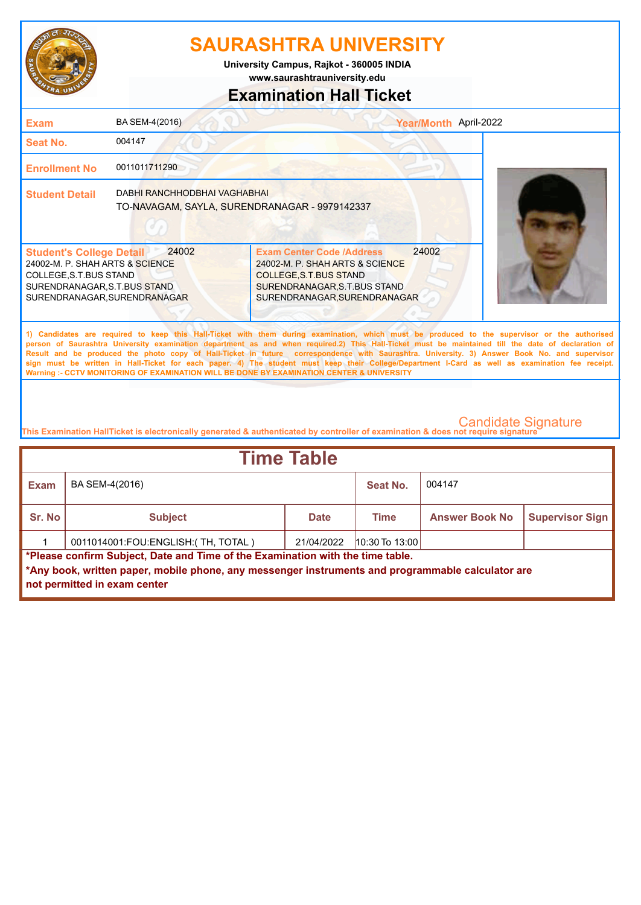

**www.saurashtrauniversity.edu University Campus, Rajkot - 360005 INDIA**

## **Examination Hall Ticket**

| <b>Exam</b>                                                                                                                                                  | BA SEM-4(2016)                                                                                                  |                                                                                                                                                                     | Year/Month April-2022 |                                                                                                                                                                                                                                                                                                    |
|--------------------------------------------------------------------------------------------------------------------------------------------------------------|-----------------------------------------------------------------------------------------------------------------|---------------------------------------------------------------------------------------------------------------------------------------------------------------------|-----------------------|----------------------------------------------------------------------------------------------------------------------------------------------------------------------------------------------------------------------------------------------------------------------------------------------------|
| Seat No.                                                                                                                                                     | 004147                                                                                                          |                                                                                                                                                                     |                       |                                                                                                                                                                                                                                                                                                    |
| <b>Enrollment No</b>                                                                                                                                         | 0011011711290                                                                                                   |                                                                                                                                                                     |                       |                                                                                                                                                                                                                                                                                                    |
| <b>Student Detail</b>                                                                                                                                        | DABHI RANCHHODBHAI VAGHABHAI<br>TO-NAVAGAM, SAYLA, SURENDRANAGAR - 9979142337                                   |                                                                                                                                                                     |                       |                                                                                                                                                                                                                                                                                                    |
| <b>Student's College Detail</b><br>24002-M. P. SHAH ARTS & SCIENCE<br>COLLEGE, S.T.BUS STAND<br>SURENDRANAGAR, S.T.BUS STAND<br>SURENDRANAGAR, SURENDRANAGAR | 24002                                                                                                           | <b>Exam Center Code /Address</b><br>24002-M. P. SHAH ARTS & SCIENCE<br><b>COLLEGE S.T.BUS STAND</b><br>SURENDRANAGAR, S.T.BUS STAND<br>SURENDRANAGAR, SURENDRANAGAR | 24002                 |                                                                                                                                                                                                                                                                                                    |
|                                                                                                                                                              | the contract of the contract of the contract of the contract of the contract of the contract of the contract of |                                                                                                                                                                     |                       | 1) Candidates are required to keep this Hall-Ticket with them during examination, which must be produced to the supervisor or the authorised<br>person of Saurashtra University examination department as and when required.2) This Hall-Ticket must be maintained till the date of declaration of |

**Result and be produced the photo copy of Hall-Ticket in future correspondence with Saurashtra. University. 3) Answer Book No. and supervisor sign must be written in Hall-Ticket for each paper. 4) The student must keep their College/Department I-Card as well as examination fee receipt. Warning :- CCTV MONITORING OF EXAMINATION WILL BE DONE BY EXAMINATION CENTER & UNIVERSITY**

| Time Table                                                                     |                                                                                                                                   |             |                |                       |                        |  |
|--------------------------------------------------------------------------------|-----------------------------------------------------------------------------------------------------------------------------------|-------------|----------------|-----------------------|------------------------|--|
| <b>Exam</b>                                                                    | BA SEM-4(2016)                                                                                                                    |             | Seat No.       | 004147                |                        |  |
| Sr. No                                                                         | <b>Subject</b>                                                                                                                    | <b>Date</b> | Time           | <b>Answer Book No</b> | <b>Supervisor Sign</b> |  |
|                                                                                | 0011014001:FOU:ENGLISH: (TH, TOTAL)                                                                                               | 21/04/2022  | 10:30 To 13:00 |                       |                        |  |
| *Please confirm Subject, Date and Time of the Examination with the time table. |                                                                                                                                   |             |                |                       |                        |  |
|                                                                                | *Any book, written paper, mobile phone, any messenger instruments and programmable calculator are<br>not permitted in exam center |             |                |                       |                        |  |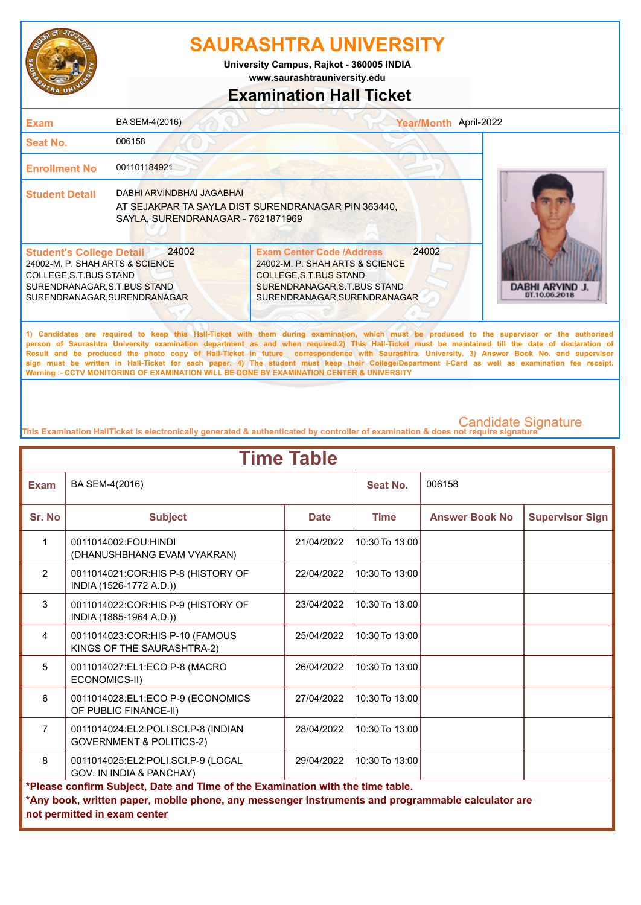

**www.saurashtrauniversity.edu University Campus, Rajkot - 360005 INDIA**

## **Examination Hall Ticket**

| <b>Exam</b>                                                                                                                                                   | BA SEM-4(2016)                                                 |                                                                                                                                                                                | Year/Month April-2022                   |
|---------------------------------------------------------------------------------------------------------------------------------------------------------------|----------------------------------------------------------------|--------------------------------------------------------------------------------------------------------------------------------------------------------------------------------|-----------------------------------------|
| Seat No.                                                                                                                                                      | 006158                                                         |                                                                                                                                                                                |                                         |
| <b>Enrollment No</b>                                                                                                                                          | 001101184921                                                   |                                                                                                                                                                                |                                         |
| <b>Student Detail</b>                                                                                                                                         | DABHI ARVINDBHAI JAGABHAI<br>SAYLA, SURENDRANAGAR - 7621871969 | AT SEJAKPAR TA SAYLA DIST SURENDRANAGAR PIN 363440,                                                                                                                            |                                         |
| <b>Student's College Detail</b><br>24002-M. P. SHAH ARTS & SCIENCE<br>COLLEGE, S.T. BUS STAND<br>SURENDRANAGAR, S.T.BUS STAND<br>SURENDRANAGAR, SURENDRANAGAR | 24002                                                          | 24002<br><b>Exam Center Code /Address</b><br>24002-M. P. SHAH ARTS & SCIENCE<br><b>COLLEGE, S.T. BUS STAND</b><br>SURENDRANAGAR, S.T.BUS STAND<br>SURENDRANAGAR, SURENDRANAGAR | <b>DABHI ARVIND J.</b><br>DT.10.06.2018 |

**1) Candidates are required to keep this Hall-Ticket with them during examination, which must be produced to the supervisor or the authorised person of Saurashtra University examination department as and when required.2) This Hall-Ticket must be maintained till the date of declaration of Result and be produced the photo copy of Hall-Ticket in future correspondence with Saurashtra. University. 3) Answer Book No. and supervisor sign must be written in Hall-Ticket for each paper. 4) The student must keep their College/Department I-Card as well as examination fee receipt. Warning :- CCTV MONITORING OF EXAMINATION WILL BE DONE BY EXAMINATION CENTER & UNIVERSITY**

| <b>Time Table</b> |                                                                                                                                                                                                                     |             |                    |                       |                        |  |
|-------------------|---------------------------------------------------------------------------------------------------------------------------------------------------------------------------------------------------------------------|-------------|--------------------|-----------------------|------------------------|--|
| <b>Exam</b>       | BA SEM-4(2016)                                                                                                                                                                                                      |             | <b>Seat No.</b>    | 006158                |                        |  |
| Sr. No            | <b>Subject</b>                                                                                                                                                                                                      | <b>Date</b> | <b>Time</b>        | <b>Answer Book No</b> | <b>Supervisor Sign</b> |  |
| $\mathbf{1}$      | 0011014002:FOU:HINDI<br>(DHANUSHBHANG EVAM VYAKRAN)                                                                                                                                                                 | 21/04/2022  | $10:30$ To $13:00$ |                       |                        |  |
| $\overline{2}$    | 0011014021:COR:HIS P-8 (HISTORY OF<br>INDIA (1526-1772 A.D.))                                                                                                                                                       | 22/04/2022  | $10:30$ To $13:00$ |                       |                        |  |
| 3                 | 0011014022:COR:HIS P-9 (HISTORY OF<br>INDIA (1885-1964 A.D.))                                                                                                                                                       | 23/04/2022  | $10:30$ To $13:00$ |                       |                        |  |
| $\overline{4}$    | 0011014023:COR:HIS P-10 (FAMOUS<br>KINGS OF THE SAURASHTRA-2)                                                                                                                                                       | 25/04/2022  | $10:30$ To $13:00$ |                       |                        |  |
| 5                 | 0011014027:EL1:ECO P-8 (MACRO<br>ECONOMICS-II)                                                                                                                                                                      | 26/04/2022  | 10:30 To 13:00     |                       |                        |  |
| 6                 | 0011014028:EL1:ECO P-9 (ECONOMICS<br>OF PUBLIC FINANCE-II)                                                                                                                                                          | 27/04/2022  | $10:30$ To $13:00$ |                       |                        |  |
| $\overline{7}$    | 0011014024:EL2:POLI.SCI.P-8 (INDIAN<br><b>GOVERNMENT &amp; POLITICS-2)</b>                                                                                                                                          | 28/04/2022  | $10:30$ To $13:00$ |                       |                        |  |
| 8                 | 0011014025:EL2:POLI.SCI.P-9 (LOCAL<br>GOV. IN INDIA & PANCHAY)                                                                                                                                                      | 29/04/2022  | 10:30 To 13:00     |                       |                        |  |
|                   | *Please confirm Subject, Date and Time of the Examination with the time table.<br>*Any book, written paper, mobile phone, any messenger instruments and programmable calculator are<br>not permitted in exam center |             |                    |                       |                        |  |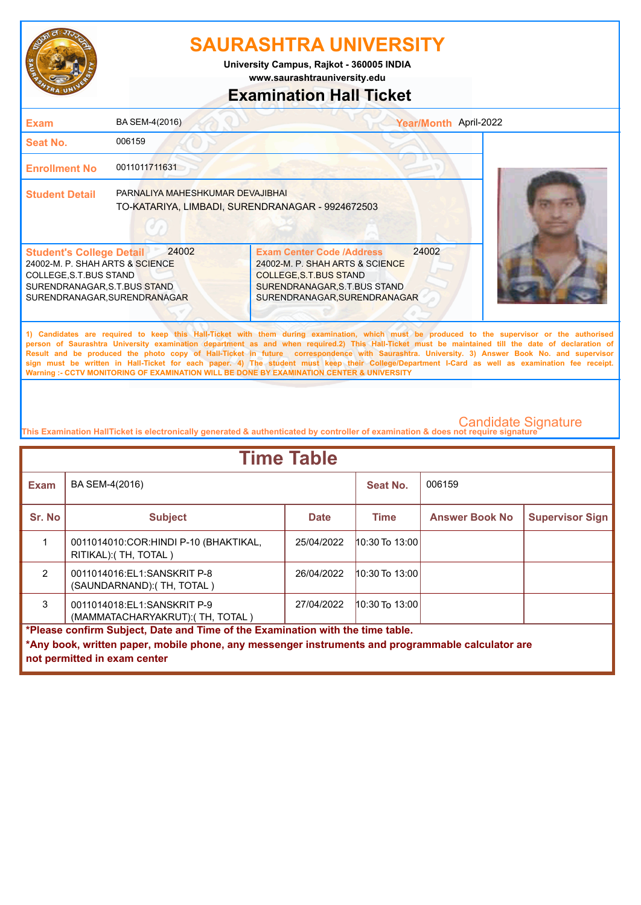

**www.saurashtrauniversity.edu University Campus, Rajkot - 360005 INDIA**

## **Examination Hall Ticket**

| <b>Exam</b>                                                                                                                                                  | BA SEM-4(2016)                                                                       |                                                                                                                                                                     | Year/Month April-2022 |  |
|--------------------------------------------------------------------------------------------------------------------------------------------------------------|--------------------------------------------------------------------------------------|---------------------------------------------------------------------------------------------------------------------------------------------------------------------|-----------------------|--|
| Seat No.                                                                                                                                                     | 006159                                                                               |                                                                                                                                                                     |                       |  |
| <b>Enrollment No</b>                                                                                                                                         | 0011011711631                                                                        |                                                                                                                                                                     |                       |  |
| <b>Student Detail</b>                                                                                                                                        | PARNALIYA MAHESHKUMAR DEVAJIBHAI<br>TO-KATARIYA, LIMBADI, SURENDRANAGAR - 9924672503 |                                                                                                                                                                     |                       |  |
| <b>Student's College Detail</b><br>24002-M. P. SHAH ARTS & SCIENCE<br>COLLEGE, S.T.BUS STAND<br>SURENDRANAGAR, S.T.BUS STAND<br>SURENDRANAGAR, SURENDRANAGAR | 24002                                                                                | <b>Exam Center Code /Address</b><br>24002-M. P. SHAH ARTS & SCIENCE<br><b>COLLEGE S.T.BUS STAND</b><br>SURENDRANAGAR, S.T.BUS STAND<br>SURENDRANAGAR, SURENDRANAGAR | 24002                 |  |
|                                                                                                                                                              |                                                                                      | Al Acadidates and acadidad to hood this field with the control constraints within within accommodate to the concentration on the controlled                         |                       |  |

**1) Candidates are required to keep this Hall-Ticket with them during examination, which must be produced to the supervisor or the authorised person of Saurashtra University examination department as and when required.2) This Hall-Ticket must be maintained till the date of declaration of Result and be produced the photo copy of Hall-Ticket in future correspondence with Saurashtra. University. 3) Answer Book No. and supervisor sign must be written in Hall-Ticket for each paper. 4) The student must keep their College/Department I-Card as well as examination fee receipt. Warning :- CCTV MONITORING OF EXAMINATION WILL BE DONE BY EXAMINATION CENTER & UNIVERSITY**

| <b>Time Table</b>                                                                                 |                                                                  |             |                    |                       |                        |  |
|---------------------------------------------------------------------------------------------------|------------------------------------------------------------------|-------------|--------------------|-----------------------|------------------------|--|
| <b>Exam</b>                                                                                       | BA SEM-4(2016)                                                   |             | Seat No.           | 006159                |                        |  |
| Sr. No                                                                                            | <b>Subject</b>                                                   | <b>Date</b> | <b>Time</b>        | <b>Answer Book No</b> | <b>Supervisor Sign</b> |  |
|                                                                                                   | 0011014010: COR: HINDI P-10 (BHAKTIKAL,<br>RITIKAL): (TH, TOTAL) | 25/04/2022  | 10:30 To 13:00     |                       |                        |  |
| $\mathfrak{p}$                                                                                    | 0011014016:EL1:SANSKRIT P-8<br>(SAUNDARNAND): (TH, TOTAL)        | 26/04/2022  | $10:30$ To $13:00$ |                       |                        |  |
| 3                                                                                                 | 0011014018:EL1:SANSKRIT P-9<br>(MAMMATACHARYAKRUT): (TH, TOTAL)  | 27/04/2022  | $10:30$ To $13:00$ |                       |                        |  |
| *Please confirm Subject, Date and Time of the Examination with the time table.                    |                                                                  |             |                    |                       |                        |  |
| *Any book, written paper, mobile phone, any messenger instruments and programmable calculator are |                                                                  |             |                    |                       |                        |  |
|                                                                                                   | not permitted in exam center                                     |             |                    |                       |                        |  |
|                                                                                                   |                                                                  |             |                    |                       |                        |  |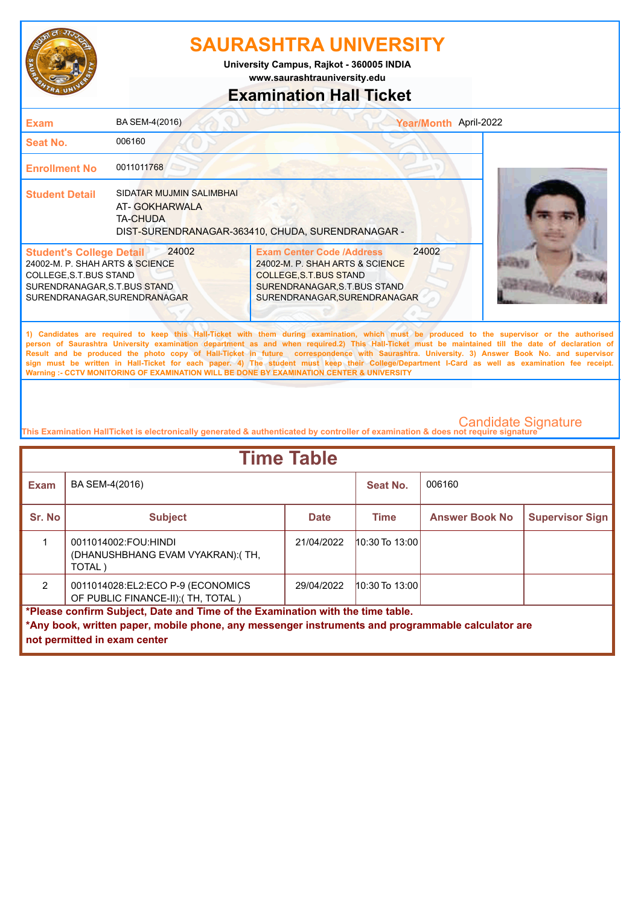

**www.saurashtrauniversity.edu University Campus, Rajkot - 360005 INDIA**

## **Examination Hall Ticket**

| <b>Exam</b>                                                                                                                                                  | BA SEM-4(2016)                                               | Year/Month April-2022                                                                                                                                                         |  |
|--------------------------------------------------------------------------------------------------------------------------------------------------------------|--------------------------------------------------------------|-------------------------------------------------------------------------------------------------------------------------------------------------------------------------------|--|
| Seat No.                                                                                                                                                     | 006160                                                       |                                                                                                                                                                               |  |
| <b>Enrollment No</b>                                                                                                                                         | 0011011768                                                   |                                                                                                                                                                               |  |
| <b>Student Detail</b>                                                                                                                                        | SIDATAR MUJMIN SALIMBHAI<br>AT-GOKHARWALA<br><b>TA-CHUDA</b> | DIST-SURENDRANAGAR-363410, CHUDA, SURENDRANAGAR -                                                                                                                             |  |
| <b>Student's College Detail</b><br>24002-M. P. SHAH ARTS & SCIENCE<br>COLLEGE, S.T.BUS STAND<br>SURENDRANAGAR, S.T.BUS STAND<br>SURENDRANAGAR, SURENDRANAGAR | 24002                                                        | 24002<br><b>Exam Center Code /Address</b><br>24002-M. P. SHAH ARTS & SCIENCE<br><b>COLLEGE, S.T.BUS STAND</b><br>SURENDRANAGAR, S.T.BUS STAND<br>SURENDRANAGAR, SURENDRANAGAR |  |
|                                                                                                                                                              |                                                              |                                                                                                                                                                               |  |

**1) Candidates are required to keep this Hall-Ticket with them during examination, which must be produced to the supervisor or the authorised person of Saurashtra University examination department as and when required.2) This Hall-Ticket must be maintained till the date of declaration of Result and be produced the photo copy of Hall-Ticket in future correspondence with Saurashtra. University. 3) Answer Book No. and supervisor sign must be written in Hall-Ticket for each paper. 4) The student must keep their College/Department I-Card as well as examination fee receipt. Warning :- CCTV MONITORING OF EXAMINATION WILL BE DONE BY EXAMINATION CENTER & UNIVERSITY**

| <b>Time Table</b>                                                              |                                                                                                   |             |                    |                       |                        |  |
|--------------------------------------------------------------------------------|---------------------------------------------------------------------------------------------------|-------------|--------------------|-----------------------|------------------------|--|
| <b>Exam</b>                                                                    | BA SEM-4(2016)                                                                                    |             | Seat No.           | 006160                |                        |  |
| Sr. No                                                                         | <b>Subject</b>                                                                                    | <b>Date</b> | Time               | <b>Answer Book No</b> | <b>Supervisor Sign</b> |  |
|                                                                                | 0011014002:FOU:HINDI<br>(DHANUSHBHANG EVAM VYAKRAN): (TH,<br>TOTAL)                               | 21/04/2022  | $10:30$ To $13:00$ |                       |                        |  |
| $\mathcal{P}$                                                                  | 0011014028:EL2:ECO P-9 (ECONOMICS<br>OF PUBLIC FINANCE-II): (TH, TOTAL)                           | 29/04/2022  | $10:30$ To 13:00   |                       |                        |  |
| *Please confirm Subject, Date and Time of the Examination with the time table. |                                                                                                   |             |                    |                       |                        |  |
|                                                                                | *Any book, written paper, mobile phone, any messenger instruments and programmable calculator are |             |                    |                       |                        |  |
|                                                                                | not permitted in exam center                                                                      |             |                    |                       |                        |  |